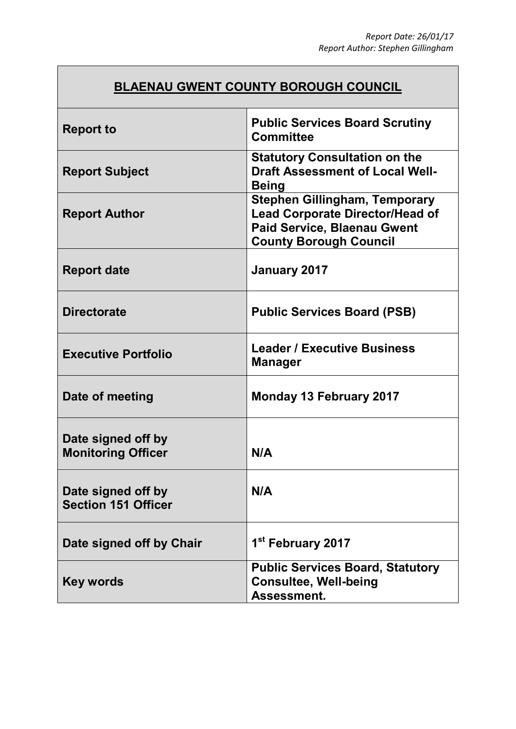## **BLAENAU GWENT COUNTY BOROUGH COUNCIL**

| <b>Report to</b>                                 | <b>Public Services Board Scrutiny</b><br><b>Committee</b>                                                                                             |
|--------------------------------------------------|-------------------------------------------------------------------------------------------------------------------------------------------------------|
| <b>Report Subject</b>                            | <b>Statutory Consultation on the</b><br><b>Draft Assessment of Local Well-</b><br><b>Being</b>                                                        |
| <b>Report Author</b>                             | <b>Stephen Gillingham, Temporary</b><br><b>Lead Corporate Director/Head of</b><br><b>Paid Service, Blaenau Gwent</b><br><b>County Borough Council</b> |
| <b>Report date</b>                               | January 2017                                                                                                                                          |
| <b>Directorate</b>                               | <b>Public Services Board (PSB)</b>                                                                                                                    |
| <b>Executive Portfolio</b>                       | <b>Leader / Executive Business</b><br><b>Manager</b>                                                                                                  |
| Date of meeting                                  | <b>Monday 13 February 2017</b>                                                                                                                        |
| Date signed off by<br><b>Monitoring Officer</b>  | N/A                                                                                                                                                   |
| Date signed off by<br><b>Section 151 Officer</b> | N/A                                                                                                                                                   |
| Date signed off by Chair                         | 1 <sup>st</sup> February 2017                                                                                                                         |
| <b>Key words</b>                                 | <b>Public Services Board, Statutory</b><br><b>Consultee, Well-being</b><br>Assessment.                                                                |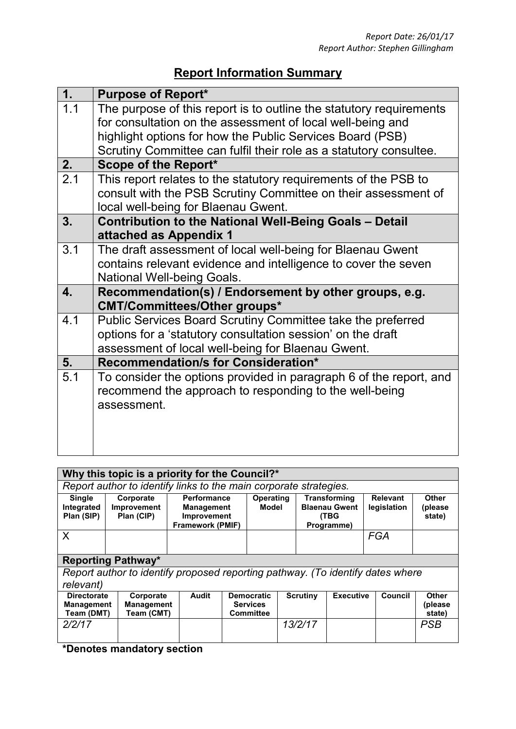## **Report Information Summary**

| 1.               | <b>Purpose of Report*</b>                                                                                                                                                                                                                                            |
|------------------|----------------------------------------------------------------------------------------------------------------------------------------------------------------------------------------------------------------------------------------------------------------------|
| 1.1              | The purpose of this report is to outline the statutory requirements<br>for consultation on the assessment of local well-being and<br>highlight options for how the Public Services Board (PSB)<br>Scrutiny Committee can fulfil their role as a statutory consultee. |
| 2.               | Scope of the Report*                                                                                                                                                                                                                                                 |
| $\overline{2.1}$ | This report relates to the statutory requirements of the PSB to<br>consult with the PSB Scrutiny Committee on their assessment of<br>local well-being for Blaenau Gwent.                                                                                             |
| 3.               | <b>Contribution to the National Well-Being Goals - Detail</b><br>attached as Appendix 1                                                                                                                                                                              |
| 3.1              | The draft assessment of local well-being for Blaenau Gwent<br>contains relevant evidence and intelligence to cover the seven<br><b>National Well-being Goals.</b>                                                                                                    |
| 4.               | Recommendation(s) / Endorsement by other groups, e.g.<br><b>CMT/Committees/Other groups*</b>                                                                                                                                                                         |
| 4.1              | Public Services Board Scrutiny Committee take the preferred<br>options for a 'statutory consultation session' on the draft<br>assessment of local well-being for Blaenau Gwent.                                                                                      |
| 5.               | <b>Recommendation/s for Consideration*</b>                                                                                                                                                                                                                           |
| 5.1              | To consider the options provided in paragraph 6 of the report, and<br>recommend the approach to responding to the well-being<br>assessment.                                                                                                                          |

| Why this topic is a priority for the Council?*                                                                                                                                                                                                                                                |                                                                   |                                              |                                                                            |              |                           |                                                          |                                                            |                 |                                |                                   |                                   |
|-----------------------------------------------------------------------------------------------------------------------------------------------------------------------------------------------------------------------------------------------------------------------------------------------|-------------------------------------------------------------------|----------------------------------------------|----------------------------------------------------------------------------|--------------|---------------------------|----------------------------------------------------------|------------------------------------------------------------|-----------------|--------------------------------|-----------------------------------|-----------------------------------|
|                                                                                                                                                                                                                                                                                               | Report author to identify links to the main corporate strategies. |                                              |                                                                            |              |                           |                                                          |                                                            |                 |                                |                                   |                                   |
| <b>Single</b><br>Integrated<br>Plan (SIP)                                                                                                                                                                                                                                                     | Corporate<br><b>Improvement</b><br>Plan (CIP)                     |                                              | <b>Performance</b><br><b>Management</b><br>Improvement<br>Framework (PMIF) |              | <b>Operating</b><br>Model |                                                          | Transforming<br><b>Blaenau Gwent</b><br>(TBG<br>Programme) |                 | <b>Relevant</b><br>legislation | <b>Other</b><br>(please<br>state) |                                   |
| X                                                                                                                                                                                                                                                                                             |                                                                   |                                              |                                                                            |              |                           |                                                          |                                                            |                 |                                | <b>FGA</b>                        |                                   |
| <b>Reporting Pathway*</b>                                                                                                                                                                                                                                                                     |                                                                   |                                              |                                                                            |              |                           |                                                          |                                                            |                 |                                |                                   |                                   |
| Report author to identify proposed reporting pathway. (To identify dates where                                                                                                                                                                                                                |                                                                   |                                              |                                                                            |              |                           |                                                          |                                                            |                 |                                |                                   |                                   |
| relevant)                                                                                                                                                                                                                                                                                     |                                                                   |                                              |                                                                            |              |                           |                                                          |                                                            |                 |                                |                                   |                                   |
| <b>Directorate</b><br><b>Management</b><br>Team (DMT)                                                                                                                                                                                                                                         |                                                                   | Corporate<br><b>Management</b><br>Team (CMT) |                                                                            | <b>Audit</b> |                           | <b>Democratic</b><br><b>Services</b><br><b>Committee</b> |                                                            | <b>Scrutiny</b> | <b>Executive</b>               | Council                           | <b>Other</b><br>(please<br>state) |
| 2/2/17                                                                                                                                                                                                                                                                                        |                                                                   |                                              |                                                                            |              |                           |                                                          |                                                            | 13/2/17         |                                |                                   | <b>PSB</b>                        |
| $\frac{1}{2}$ and $\frac{1}{2}$ and $\frac{1}{2}$ and $\frac{1}{2}$ and $\frac{1}{2}$ and $\frac{1}{2}$ and $\frac{1}{2}$ and $\frac{1}{2}$ and $\frac{1}{2}$ and $\frac{1}{2}$ and $\frac{1}{2}$ and $\frac{1}{2}$ and $\frac{1}{2}$ and $\frac{1}{2}$ and $\frac{1}{2}$ and $\frac{1}{2}$ a |                                                                   |                                              |                                                                            |              |                           |                                                          |                                                            |                 |                                |                                   |                                   |

**\*Denotes mandatory section**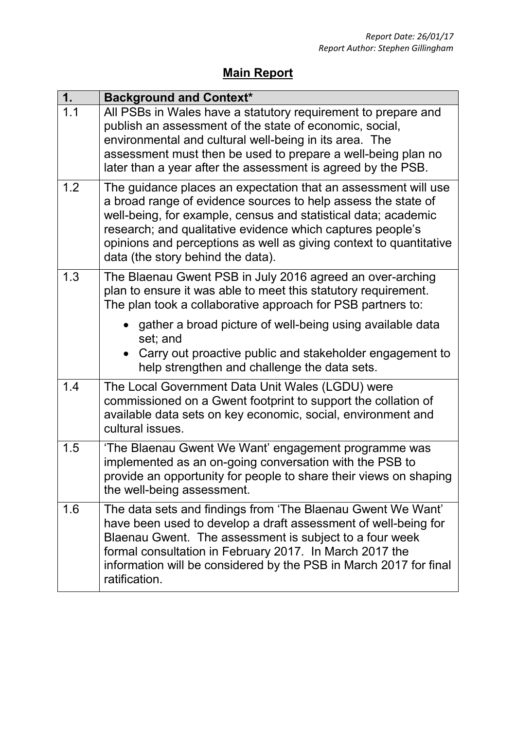## **Main Report**

| 1.  | <b>Background and Context*</b>                                                                                                                                                                                                                                                                                                                                             |
|-----|----------------------------------------------------------------------------------------------------------------------------------------------------------------------------------------------------------------------------------------------------------------------------------------------------------------------------------------------------------------------------|
| 1.1 | All PSBs in Wales have a statutory requirement to prepare and<br>publish an assessment of the state of economic, social,<br>environmental and cultural well-being in its area. The<br>assessment must then be used to prepare a well-being plan no<br>later than a year after the assessment is agreed by the PSB.                                                         |
| 1.2 | The guidance places an expectation that an assessment will use<br>a broad range of evidence sources to help assess the state of<br>well-being, for example, census and statistical data; academic<br>research; and qualitative evidence which captures people's<br>opinions and perceptions as well as giving context to quantitative<br>data (the story behind the data). |
| 1.3 | The Blaenau Gwent PSB in July 2016 agreed an over-arching<br>plan to ensure it was able to meet this statutory requirement.<br>The plan took a collaborative approach for PSB partners to:                                                                                                                                                                                 |
|     | gather a broad picture of well-being using available data<br>set; and<br>• Carry out proactive public and stakeholder engagement to<br>help strengthen and challenge the data sets.                                                                                                                                                                                        |
| 1.4 | The Local Government Data Unit Wales (LGDU) were<br>commissioned on a Gwent footprint to support the collation of<br>available data sets on key economic, social, environment and<br>cultural issues.                                                                                                                                                                      |
| 1.5 | 'The Blaenau Gwent We Want' engagement programme was<br>implemented as an on-going conversation with the PSB to<br>provide an opportunity for people to share their views on shaping<br>the well-being assessment.                                                                                                                                                         |
| 1.6 | The data sets and findings from 'The Blaenau Gwent We Want'<br>have been used to develop a draft assessment of well-being for<br>Blaenau Gwent. The assessment is subject to a four week<br>formal consultation in February 2017. In March 2017 the<br>information will be considered by the PSB in March 2017 for final<br>ratification.                                  |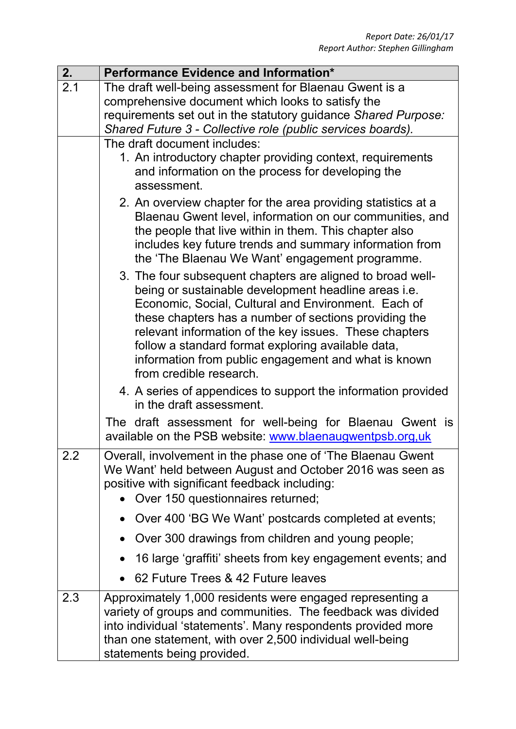| 2.  | Performance Evidence and Information*                                                                                                                                                                                                                                                                                                                                                                                                        |
|-----|----------------------------------------------------------------------------------------------------------------------------------------------------------------------------------------------------------------------------------------------------------------------------------------------------------------------------------------------------------------------------------------------------------------------------------------------|
| 2.1 | The draft well-being assessment for Blaenau Gwent is a                                                                                                                                                                                                                                                                                                                                                                                       |
|     | comprehensive document which looks to satisfy the                                                                                                                                                                                                                                                                                                                                                                                            |
|     | requirements set out in the statutory guidance Shared Purpose:                                                                                                                                                                                                                                                                                                                                                                               |
|     | Shared Future 3 - Collective role (public services boards).                                                                                                                                                                                                                                                                                                                                                                                  |
|     | The draft document includes:<br>1. An introductory chapter providing context, requirements                                                                                                                                                                                                                                                                                                                                                   |
|     | and information on the process for developing the<br>assessment.                                                                                                                                                                                                                                                                                                                                                                             |
|     | 2. An overview chapter for the area providing statistics at a<br>Blaenau Gwent level, information on our communities, and<br>the people that live within in them. This chapter also<br>includes key future trends and summary information from<br>the 'The Blaenau We Want' engagement programme.                                                                                                                                            |
|     | 3. The four subsequent chapters are aligned to broad well-<br>being or sustainable development headline areas <i>i.e.</i><br>Economic, Social, Cultural and Environment. Each of<br>these chapters has a number of sections providing the<br>relevant information of the key issues. These chapters<br>follow a standard format exploring available data,<br>information from public engagement and what is known<br>from credible research. |
|     | 4. A series of appendices to support the information provided<br>in the draft assessment.                                                                                                                                                                                                                                                                                                                                                    |
|     | The draft assessment for well-being for Blaenau Gwent is<br>available on the PSB website: www.blaenaugwentpsb.org,uk                                                                                                                                                                                                                                                                                                                         |
| 2.2 | Overall, involvement in the phase one of 'The Blaenau Gwent<br>We Want' held between August and October 2016 was seen as<br>positive with significant feedback including:<br>Over 150 questionnaires returned;                                                                                                                                                                                                                               |
|     | • Over 400 'BG We Want' postcards completed at events;                                                                                                                                                                                                                                                                                                                                                                                       |
|     | Over 300 drawings from children and young people;                                                                                                                                                                                                                                                                                                                                                                                            |
|     | 16 large 'graffiti' sheets from key engagement events; and                                                                                                                                                                                                                                                                                                                                                                                   |
|     | 62 Future Trees & 42 Future leaves                                                                                                                                                                                                                                                                                                                                                                                                           |
| 2.3 | Approximately 1,000 residents were engaged representing a<br>variety of groups and communities. The feedback was divided<br>into individual 'statements'. Many respondents provided more<br>than one statement, with over 2,500 individual well-being<br>statements being provided.                                                                                                                                                          |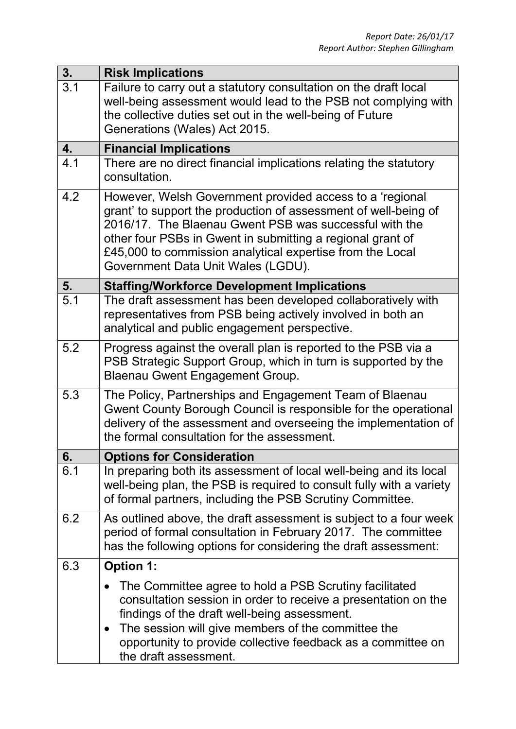| 3.  | <b>Risk Implications</b>                                                                                                                                                                                                                                                                                                                               |
|-----|--------------------------------------------------------------------------------------------------------------------------------------------------------------------------------------------------------------------------------------------------------------------------------------------------------------------------------------------------------|
| 3.1 | Failure to carry out a statutory consultation on the draft local<br>well-being assessment would lead to the PSB not complying with<br>the collective duties set out in the well-being of Future<br>Generations (Wales) Act 2015.                                                                                                                       |
| 4.  | <b>Financial Implications</b>                                                                                                                                                                                                                                                                                                                          |
| 4.1 | There are no direct financial implications relating the statutory<br>consultation.                                                                                                                                                                                                                                                                     |
| 4.2 | However, Welsh Government provided access to a 'regional<br>grant' to support the production of assessment of well-being of<br>2016/17. The Blaenau Gwent PSB was successful with the<br>other four PSBs in Gwent in submitting a regional grant of<br>£45,000 to commission analytical expertise from the Local<br>Government Data Unit Wales (LGDU). |
| 5.  | <b>Staffing/Workforce Development Implications</b>                                                                                                                                                                                                                                                                                                     |
| 5.1 | The draft assessment has been developed collaboratively with<br>representatives from PSB being actively involved in both an<br>analytical and public engagement perspective.                                                                                                                                                                           |
| 5.2 | Progress against the overall plan is reported to the PSB via a<br>PSB Strategic Support Group, which in turn is supported by the<br>Blaenau Gwent Engagement Group.                                                                                                                                                                                    |
| 5.3 | The Policy, Partnerships and Engagement Team of Blaenau<br>Gwent County Borough Council is responsible for the operational<br>delivery of the assessment and overseeing the implementation of<br>the formal consultation for the assessment.                                                                                                           |
| 6.  | <b>Options for Consideration</b>                                                                                                                                                                                                                                                                                                                       |
| 6.1 | In preparing both its assessment of local well-being and its local<br>well-being plan, the PSB is required to consult fully with a variety<br>of formal partners, including the PSB Scrutiny Committee.                                                                                                                                                |
| 6.2 | As outlined above, the draft assessment is subject to a four week<br>period of formal consultation in February 2017. The committee<br>has the following options for considering the draft assessment:                                                                                                                                                  |
| 6.3 | <b>Option 1:</b>                                                                                                                                                                                                                                                                                                                                       |
|     | The Committee agree to hold a PSB Scrutiny facilitated<br>consultation session in order to receive a presentation on the<br>findings of the draft well-being assessment.<br>The session will give members of the committee the<br>$\bullet$<br>opportunity to provide collective feedback as a committee on<br>the draft assessment.                   |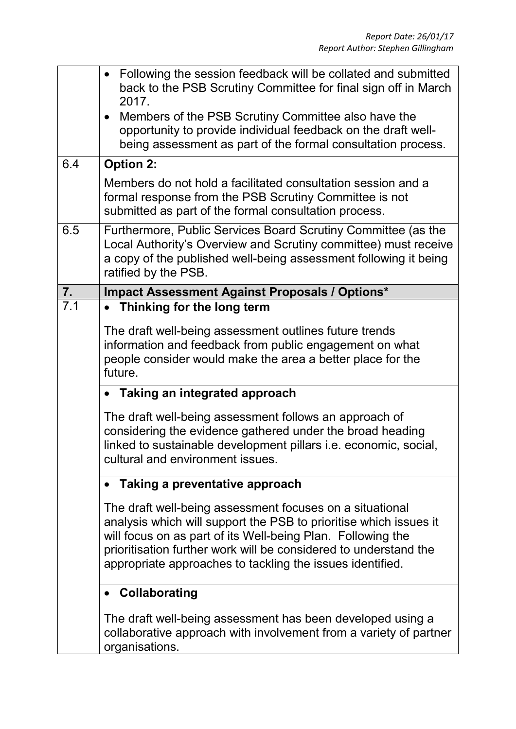|     | Following the session feedback will be collated and submitted<br>$\bullet$<br>back to the PSB Scrutiny Committee for final sign off in March<br>2017.<br>Members of the PSB Scrutiny Committee also have the<br>$\bullet$<br>opportunity to provide individual feedback on the draft well-<br>being assessment as part of the formal consultation process. |
|-----|------------------------------------------------------------------------------------------------------------------------------------------------------------------------------------------------------------------------------------------------------------------------------------------------------------------------------------------------------------|
| 6.4 | <b>Option 2:</b>                                                                                                                                                                                                                                                                                                                                           |
|     | Members do not hold a facilitated consultation session and a<br>formal response from the PSB Scrutiny Committee is not<br>submitted as part of the formal consultation process.                                                                                                                                                                            |
| 6.5 | Furthermore, Public Services Board Scrutiny Committee (as the<br>Local Authority's Overview and Scrutiny committee) must receive<br>a copy of the published well-being assessment following it being<br>ratified by the PSB.                                                                                                                               |
| 7.  | <b>Impact Assessment Against Proposals / Options*</b>                                                                                                                                                                                                                                                                                                      |
| 7.1 | Thinking for the long term<br>$\bullet$<br>The draft well-being assessment outlines future trends<br>information and feedback from public engagement on what<br>people consider would make the area a better place for the<br>future.<br>Taking an integrated approach                                                                                     |
|     | The draft well-being assessment follows an approach of<br>considering the evidence gathered under the broad heading<br>linked to sustainable development pillars <i>i.e.</i> economic, social,<br>cultural and environment issues.                                                                                                                         |
|     | Taking a preventative approach                                                                                                                                                                                                                                                                                                                             |
|     | The draft well-being assessment focuses on a situational<br>analysis which will support the PSB to prioritise which issues it<br>will focus on as part of its Well-being Plan. Following the<br>prioritisation further work will be considered to understand the<br>appropriate approaches to tackling the issues identified.                              |
|     | Collaborating<br>$\bullet$                                                                                                                                                                                                                                                                                                                                 |
|     | The draft well-being assessment has been developed using a<br>collaborative approach with involvement from a variety of partner<br>organisations.                                                                                                                                                                                                          |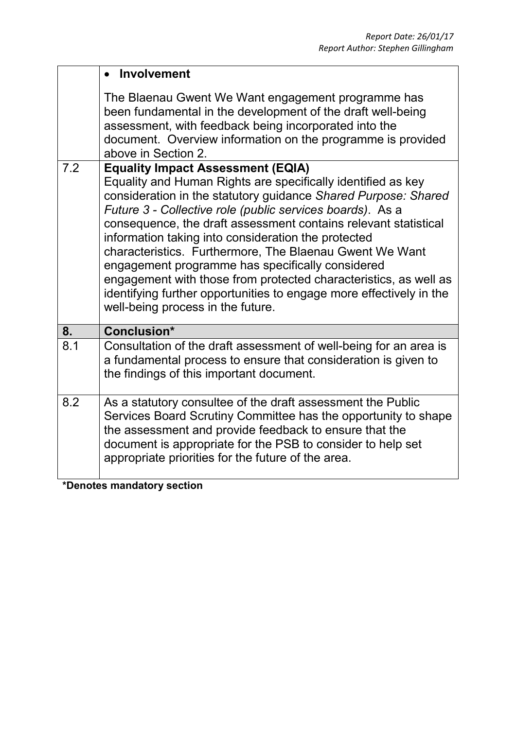|     | Involvement                                                                                                                                                                                                                                                                                                                                                                                                                                                                                                                                                                                                                                                      |
|-----|------------------------------------------------------------------------------------------------------------------------------------------------------------------------------------------------------------------------------------------------------------------------------------------------------------------------------------------------------------------------------------------------------------------------------------------------------------------------------------------------------------------------------------------------------------------------------------------------------------------------------------------------------------------|
|     | The Blaenau Gwent We Want engagement programme has<br>been fundamental in the development of the draft well-being<br>assessment, with feedback being incorporated into the<br>document. Overview information on the programme is provided<br>above in Section 2.                                                                                                                                                                                                                                                                                                                                                                                                 |
| 7.2 | <b>Equality Impact Assessment (EQIA)</b><br>Equality and Human Rights are specifically identified as key<br>consideration in the statutory guidance Shared Purpose: Shared<br>Future 3 - Collective role (public services boards). As a<br>consequence, the draft assessment contains relevant statistical<br>information taking into consideration the protected<br>characteristics. Furthermore, The Blaenau Gwent We Want<br>engagement programme has specifically considered<br>engagement with those from protected characteristics, as well as<br>identifying further opportunities to engage more effectively in the<br>well-being process in the future. |
| 8.  | Conclusion*                                                                                                                                                                                                                                                                                                                                                                                                                                                                                                                                                                                                                                                      |
| 8.1 | Consultation of the draft assessment of well-being for an area is<br>a fundamental process to ensure that consideration is given to<br>the findings of this important document.                                                                                                                                                                                                                                                                                                                                                                                                                                                                                  |
| 8.2 | As a statutory consultee of the draft assessment the Public<br>Services Board Scrutiny Committee has the opportunity to shape<br>the assessment and provide feedback to ensure that the<br>document is appropriate for the PSB to consider to help set<br>appropriate priorities for the future of the area.                                                                                                                                                                                                                                                                                                                                                     |
|     | *Denotes mandatory section                                                                                                                                                                                                                                                                                                                                                                                                                                                                                                                                                                                                                                       |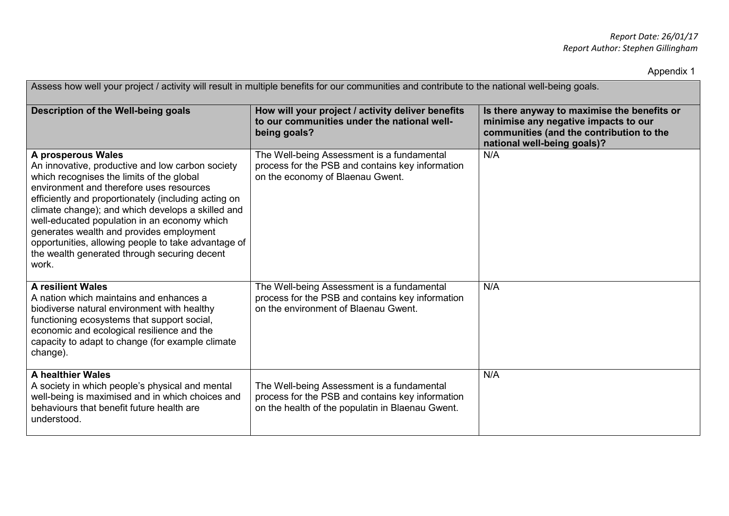Appendix 1

| Assess how well your project / activity will result in multiple benefits for our communities and contribute to the national well-being goals.                                                                                                                                                                                                                                                                                                                                            |                                                                                                                                                    |                                                                                                                                                                |  |  |  |  |
|------------------------------------------------------------------------------------------------------------------------------------------------------------------------------------------------------------------------------------------------------------------------------------------------------------------------------------------------------------------------------------------------------------------------------------------------------------------------------------------|----------------------------------------------------------------------------------------------------------------------------------------------------|----------------------------------------------------------------------------------------------------------------------------------------------------------------|--|--|--|--|
| Description of the Well-being goals                                                                                                                                                                                                                                                                                                                                                                                                                                                      | How will your project / activity deliver benefits<br>to our communities under the national well-<br>being goals?                                   | Is there anyway to maximise the benefits or<br>minimise any negative impacts to our<br>communities (and the contribution to the<br>national well-being goals)? |  |  |  |  |
| A prosperous Wales<br>An innovative, productive and low carbon society<br>which recognises the limits of the global<br>environment and therefore uses resources<br>efficiently and proportionately (including acting on<br>climate change); and which develops a skilled and<br>well-educated population in an economy which<br>generates wealth and provides employment<br>opportunities, allowing people to take advantage of<br>the wealth generated through securing decent<br>work. | The Well-being Assessment is a fundamental<br>process for the PSB and contains key information<br>on the economy of Blaenau Gwent.                 | N/A                                                                                                                                                            |  |  |  |  |
| <b>A resilient Wales</b><br>A nation which maintains and enhances a<br>biodiverse natural environment with healthy<br>functioning ecosystems that support social,<br>economic and ecological resilience and the<br>capacity to adapt to change (for example climate<br>change).                                                                                                                                                                                                          | The Well-being Assessment is a fundamental<br>process for the PSB and contains key information<br>on the environment of Blaenau Gwent.             | N/A                                                                                                                                                            |  |  |  |  |
| A healthier Wales<br>A society in which people's physical and mental<br>well-being is maximised and in which choices and<br>behaviours that benefit future health are<br>understood.                                                                                                                                                                                                                                                                                                     | The Well-being Assessment is a fundamental<br>process for the PSB and contains key information<br>on the health of the populatin in Blaenau Gwent. | N/A                                                                                                                                                            |  |  |  |  |